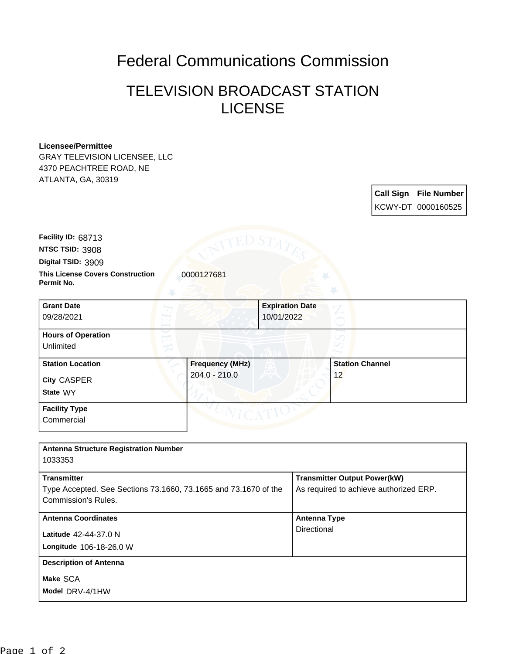## Federal Communications Commission

## TELEVISION BROADCAST STATION **LICENSE**

## **Licensee/Permittee**

GRAY TELEVISION LICENSEE, LLC 4370 PEACHTREE ROAD, NE ATLANTA, GA, 30319

> **Call Sign File Number** KCWY-DT 0000160525

**NTSC TSID:** 3908 **Facility ID:** 68713

**Digital TSID:** 3909

**Permit No.**

**This License Covers Construction**  0000127681

| <b>Grant Date</b><br>09/28/2021                           |                                         | <b>Expiration Date</b><br>10/01/2022 |                              |  |
|-----------------------------------------------------------|-----------------------------------------|--------------------------------------|------------------------------|--|
| <b>Hours of Operation</b><br>Unlimited                    |                                         |                                      | V                            |  |
| <b>Station Location</b><br><b>City CASPER</b><br>State WY | <b>Frequency (MHz)</b><br>204.0 - 210.0 |                                      | <b>Station Channel</b><br>12 |  |
| <b>Facility Type</b><br>Commercial                        |                                         |                                      |                              |  |

| <b>Antenna Structure Registration Number</b><br>1033353                                |                                        |
|----------------------------------------------------------------------------------------|----------------------------------------|
| <b>Transmitter</b>                                                                     | <b>Transmitter Output Power(kW)</b>    |
| Type Accepted. See Sections 73.1660, 73.1665 and 73.1670 of the<br>Commission's Rules. | As required to achieve authorized ERP. |
| <b>Antenna Coordinates</b>                                                             | <b>Antenna Type</b>                    |
| <b>Latitude 42-44-37.0 N</b>                                                           | Directional                            |
| Longitude 106-18-26.0 W                                                                |                                        |
| <b>Description of Antenna</b>                                                          |                                        |
| Make SCA                                                                               |                                        |
| Model DRV-4/1HW                                                                        |                                        |